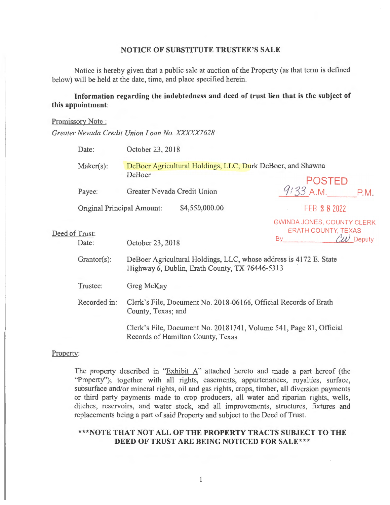# **NOTICE OF SUBSTITUTE TRUSTEE'S SALE**

Notice is hereby given that a public sale at auction of the Property (as that term is defined below) will be held at the date, time, and place specified herein.

# **Information regarding the indebtedness and deed of trust lien that is the subject of this appointment:**

### Promissory Note :

*Greater Nevada Credit Union Loan No. XXXXX7628* 

|                | Date:                                                                                                   | October 23, 2018                                                                                                    |                                                                                       |
|----------------|---------------------------------------------------------------------------------------------------------|---------------------------------------------------------------------------------------------------------------------|---------------------------------------------------------------------------------------|
|                | $Maker(s)$ :                                                                                            | DeBoer Agricultural Holdings, LLC; Durk DeBoer, and Shawna<br>DeBoer                                                | <b>POSTED</b>                                                                         |
| Deed of Trust: | Payee:                                                                                                  | Greater Nevada Credit Union                                                                                         | $9:33$ A.M. P.M.                                                                      |
|                | Original Principal Amount:                                                                              | \$4,550,000.00                                                                                                      | FEB 2 8 2022                                                                          |
|                | Date:                                                                                                   | October 23, 2018                                                                                                    | GWINDA JONES, COUNTY CLERK<br><b>ERATH COUNTY, TEXAS</b><br>LW Deputy<br><b>By By</b> |
|                | $Grantor(s)$ :                                                                                          | DeBoer Agricultural Holdings, LLC, whose address is 4172 E. State<br>Highway 6, Dublin, Erath County, TX 76446-5313 |                                                                                       |
|                | Trustee:                                                                                                | Greg McKay                                                                                                          |                                                                                       |
|                | Recorded in:                                                                                            | Clerk's File, Document No. 2018-06166, Official Records of Erath<br>County, Texas; and                              |                                                                                       |
|                | Clerk's File, Document No. 20181741, Volume 541, Page 81, Official<br>Records of Hamilton County, Texas |                                                                                                                     |                                                                                       |

### Property:

The property described in "Exhibit A" attached hereto and made a part hereof (the "Property"); together with all rights, casements, appurtenances, royalties, surface, subsurface and/or mineral rights, oil and gas rights, crops, timber, all diversion payments or third party payments made to crop producers, all water and riparian rights, wells, ditches, reservoirs, and water stock, and all improvements, structures, fixtures and replacements being a part of said Property and subject to the Deed of Trust.

# **\*\*\*NOTE THAT NOT ALL OF THE PROPERTY TRACTS SUBJECT TO THE DEED OF TRUST ARE BEING NOTICED FOR SALE\*\*\***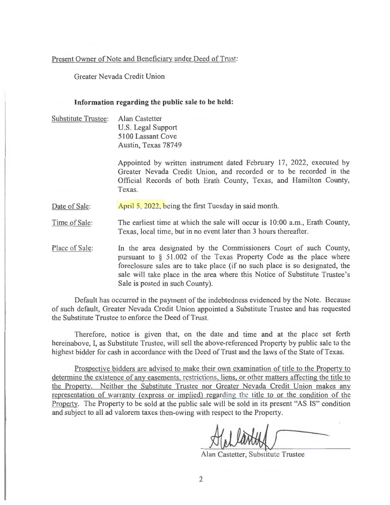## Present Owner of Note and Beneficiary under Deed of Trust:

Greater Nevada Credit Union

## **Information regarding the public sale to be held:**

Substitute Trustee: Alan Castetter U.S. Legal Support 5100 Lassant Cove Austin, Texas 78749

> Appointed by written instrument dated February 17, 2022, executed by Greater Nevada Credit Union, and recorded or to be recorded in the Official Records of both Erath County, Texas, and Hamilton County, Texas.

Date of Sale: April 5, 2022, being the first Tuesday in said month.

Time of Sale: The earliest time at which the sale will occur is 10:00 a.m., Erath County, Texas, local time, but in no event later than 3 hours thereafter.

Place of Sale: In the area designated by the Commissioners Court of such County, pursuant to § 51.002 of the Texas Property Code as the place where foreclosure sales are to take place (if no such place is so designated, the sale will take place in the area where this Notice of Substitute Trustee's Sale is posted in such County).

Default has occurred in the payment of the indebtedness evidenced by the Note. Because of such default, Greater Nevada Credit Union appointed a Substitute Trustee and has requested the Substitute Trustee to enforce the Deed of Trust.

Therefore, notice is given that, on the date and time and at the place set forth hereinabove, I, as Substitute Trustee, will sell the above-referenced Property by public sale to the highest bidder for cash in accordance with the Deed of Trust and the laws of the State of Texas.

Prospective bidders are advised to make their own examination of title to the Property to determine the existence of any easements, restrictions, liens, or other matters affecting the title to the Property. Neither the Substitute Trustee nor Greater Nevada Credit Union makes any representation of warranty (express or implied) regarding the title to or the condition of the Property. The Property to be sold at the public sale will be sold in its present "AS IS" condition and subject to all ad valorem taxes then-owing with respect to the Property.

-

Alan Castetter, Substitute Trustee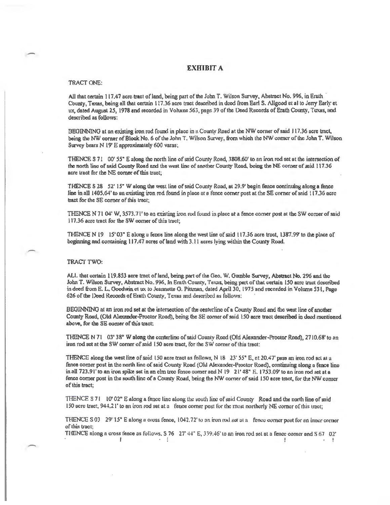### EXHIBIT A

### TRACT ONE:

All that certain 117.47 acre tract of land, being part of the John T. Wilson Survey, Abstract No. 996, in Erath County, Texas, being all that certain 117.36 acre tract described in deed from Earl S. Aligood et al to Jerry Early et ux, dated August 25, 1978 and recorded in Volume 563, page 39 of the Deed Records of Erath County, Texas, and described as follows:

I3EGINNJNG at nn existing iron rod found in place in 11 County Road at the NW comer of said J 17.36 acre tract, being the NW corner of Block No. 6 of the John T. Wilson Survey, from which the NW comer of the John T. Wilson Survey bears N 19' E approximately 600 varas;

THENCE S 71 00' 55" E along the north line of said County Road, 3808.60' to an iron rod set at the intersection of the north line of said County Road and the west line of another County Road, being the NE comer of said 117.36 acre tract for the NE comer of this tract;

THENCE S 28 52' 15" W along lhe west line of snid County Road, al 29.9' begin fence continuing along a fence line in all 1405,64' to an existing iron rod found in place at a fence corner post at the SE corner of said 117.36 acre tract for the SE corner of this tract;

THENCE N 71 04' W, 3573.71' to an existing iron rod found in place at a fence corner post at the SW corner of said 117.36 acre tract for the SW corner of this tract;

THENCE N  $19 \t15' 03''$  E along a fence line along the west line of said  $117.36$  acre tract,  $1387.99'$  to the place of beginning and containing 117.47 neres of land with 3.11 acres lying within the County Road.

#### TRACT TWO:

ALL that certain 119.853 acre tract of land, being part of the Geo. W. Gamble Survey, Abstract No. 296 and the John T. Wilson Survey, Abstract No. 996, In Erath County, Texas, being part of that certain 150 acre tract described in deed from E. L. Goodwin et ux to Jeannette G. Pittman, dated April 30, 1975 and recorded in Volume 531, Page 626 of the Deed Records of Erath County, Texas and described as follows:

BEGINNING at an iron rod set at the intersection of the centerline of a County Road and the west line of another County Road, (Old Alexander-Proctor Road), being the SE comer of said 150 acre tract described in deed mentioned above, for the SE corner of this tract:

THENCE N 71 03' 38" W along the centerline of said County Road (Old Alexander-Proctor Road), 2710.68' to an iron rod set at the SW corner of said 150 acre tract, for the SW corner of this tract:

THENCE along the west line of said 150 acre tract as follows, N  $18$  23' 55" E, at 20.47' pass an iron rod set at a fence comer post in the north line of said County Road (Old Alexander-Proctor Road), continuing along a fence line in all 723.91' to an iron spike set in an elm tree fonce comer and N 19 21' 48" E. 1753.09' to an iron rod set at a fence comer pose in the south line of a County Road, being the NW comer of said l50 acre tract, for the NW comer of this tract;

THENCE S 71 10' 02" E along a fence line along the south line of said County Road and the north line of said 150 acre tract,  $944.21'$  to an iron rod set at a fence comer post for the most northerly NE corner of this tract;

THENCE S 03 29' 15" E along a cross fence,  $1042.72$ ' to an iron rod set at a fence corner post for an inner corner of this tract;

THENCE along a cross fence as follows,  $S$  76 27' 44" E, 339.46' to an iron rod set at a fence corner and  $S$  67 02' !  $\sim$   $\sim$   $\sim$  $\mathbf{r}$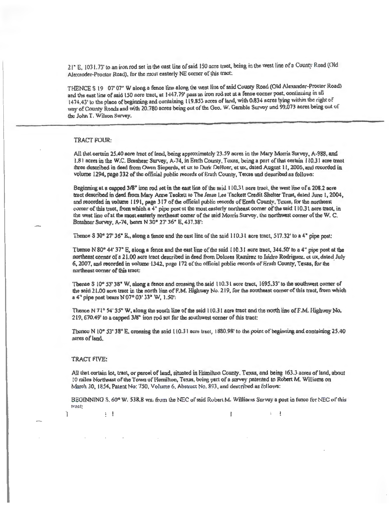21" E, 1031.73' to an iron rod set in the cast line of said 150 acre tract, being in the west line of a County Road (Old Alexander-Proctor Road), for the most easterly NE corner of this tract:

THENCE S 19 07'07" W along a fence line along the west line of said County Road (Old Alexander-Proctor Road) and the east line of said 150 acre tract, at 1447.79' pass an iron rod set at a fence corner post, continuing in all 1474.43' to the place of beginning and containing 119.853 acres of land, with 0.834 acres lying within the right of way of County Roads and with 20.780 acres being out of the Geo. W. Gamble Survey and 99.073 acres being out of the John T. Wilson Survey.

#### **TRACT FOUR:**

All that certain 25.40 acre tract of land, being approximately 23.59 acres in the Mary Morris Survey, A-988, and 1.81 acres in the W.C. Brashear Survey, A-74, in Erath County, Toxas, being a part of that certain 110.31 acre tract three described in deed from Owen Sieperda, et ux to Durk DeBoer, et ux, dated August 11, 2006, and recorded in volume 1294, page 332 of the official public records of Erath County, Texas and described as follows:

Beginning at a capped 3/8" iron rod set in the east line of the said 110.31 acre tract, the west line of a 208.2 acre tract described in deed from Mary Anne Tackett to The Jesse Lee Tackett Credit Shelter Trust, dated June 1, 2004, and recorded in volume 1191, page 317 of the official public records of Erath County, Texas, for the northeast corner of this tract, from which a 4" pipe post at the most easterly northeast corner of the said 110.31 acre tract, in the west line of at the most easterly northeast corner of the said Morris Survey, the northwest corner of the W.C. Brashear Survey, A-74, benrs N 30° 27' 36" E, 437.38":

Thence S 30° 27' 36" E, along a fence and the cast line of the said 110.31 acre tract, 517.32' to a 4" pipe post:

Thence N 80° 44' 37" E, along a fence and the east line of the said 110.31 acre tract, 344.50' to a 4" pipe post at the northeast corner of a 21.00 acre tract described in deed from Dolores Ramirez to Isidro Rodriguez, et ux, dated July 6, 2007, and recorded in volume 1342, page 172 of the official public records of Erath County, Texas, for the northeast corner of this tract:

Themee S 10° 53' 38" W, along a fence and crossing the said 110.31 acre tract, 1695.33' to the southwest comer of the said 21.00 acre tract in the north line of F.M. Highway No. 219, for the southeast corner of this tract, from which a 4" pipe post bears N 07° 03' 33" W, 1.50":

Thence N 71° 54' 35" W, along the south line of the said 110.31 acre tract and the north line of F.M. Highway No. 219, 670.49' to a capped 3/8" iron rod set for the southwest corner of this tract:

Thence N 10° 53' 38" E, crossing the said 110.31 acre tract, 1880.98' to the point of beginning and containing 25.40 acres of land.

#### TRACT FIVE:

 $\vdots$ 

Ï

All that cortain lot, tract, or parcel of land, situated in Hamilton County. Texas, and being 163.3 acres of land, about 10 miles Northeast of the Town of Hamilton, Taxas, being part of a survey patented to Robert M. Williams on March 30, 1854, Fatent No: 750, Volume 6, Abstract No. 893, and described as follows:

BECHNNING S, 60° W. 538.8 vrs. from the NEC of said Robert M. Williams (Survey a post in fence for NEC of this tract:  $\mathbf{I}$  $\frac{1}{2}$